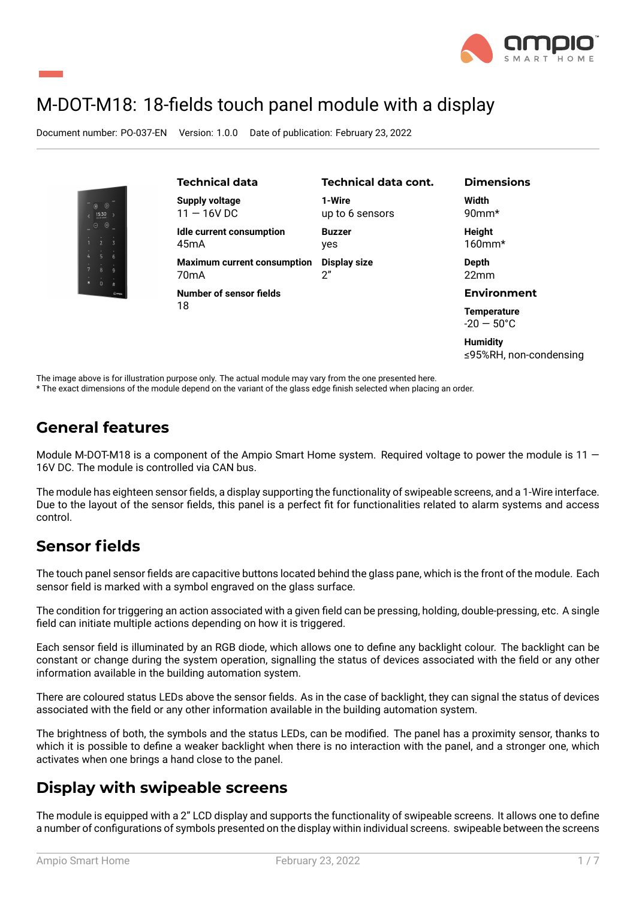

# M-DOT-M18: 18-fields touch panel module with a display

Document number: PO-037-EN Version: 1.0.0 Date of publication: February 23, 2022



≤95%RH, non-condensing

The image above is for illustration purpose only. The actual module may vary from the one presented here.

\* The exact dimensions of the module depend on the variant of the glass edge finish selected when placing an order.

### **General features**

Module M-DOT-M18 is a component of the Ampio Smart Home system. Required voltage to power the module is 11  $-$ 16V DC. The module is controlled via CAN bus.

The module has eighteen sensor fields, a display supporting the functionality of swipeable screens, and a 1-Wire interface. Due to the layout of the sensor fields, this panel is a perfect fit for functionalities related to alarm systems and access control.

## **Sensor fields**

The touch panel sensor fields are capacitive buttons located behind the glass pane, which is the front of the module. Each sensor field is marked with a symbol engraved on the glass surface.

The condition for triggering an action associated with a given field can be pressing, holding, double-pressing, etc. A single field can initiate multiple actions depending on how it is triggered.

Each sensor field is illuminated by an RGB diode, which allows one to define any backlight colour. The backlight can be constant or change during the system operation, signalling the status of devices associated with the field or any other information available in the building automation system.

There are coloured status LEDs above the sensor fields. As in the case of backlight, they can signal the status of devices associated with the field or any other information available in the building automation system.

The brightness of both, the symbols and the status LEDs, can be modified. The panel has a proximity sensor, thanks to which it is possible to define a weaker backlight when there is no interaction with the panel, and a stronger one, which activates when one brings a hand close to the panel.

## **Display with swipeable screens**

The module is equipped with a 2" LCD display and supports the functionality of swipeable screens. It allows one to define a number of configurations of symbols presented on the display within individual screens. swipeable between the screens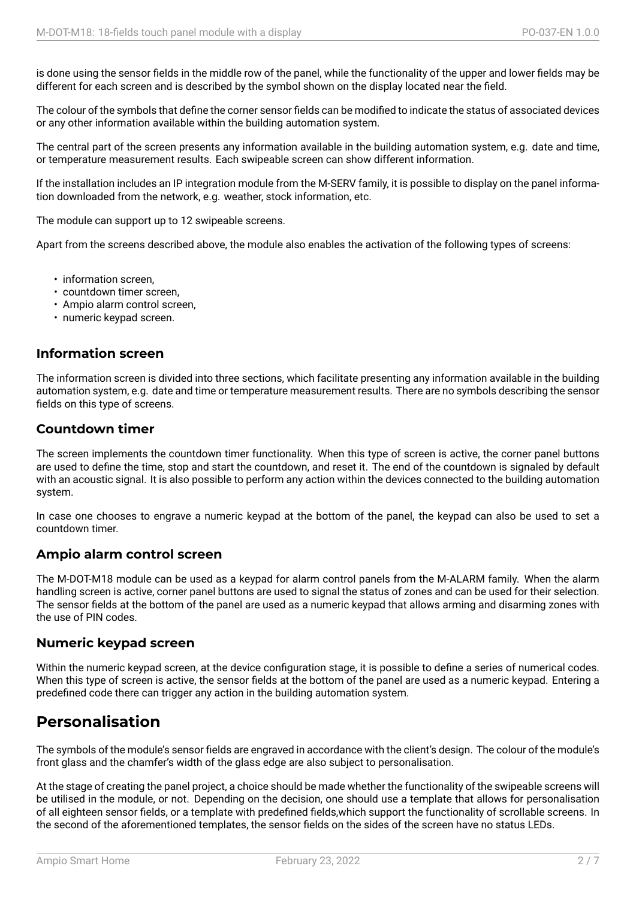is done using the sensor fields in the middle row of the panel, while the functionality of the upper and lower fields may be different for each screen and is described by the symbol shown on the display located near the field.

The colour of the symbols that define the corner sensor fields can be modified to indicate the status of associated devices or any other information available within the building automation system.

The central part of the screen presents any information available in the building automation system, e.g. date and time, or temperature measurement results. Each swipeable screen can show different information.

If the installation includes an IP integration module from the M-SERV family, it is possible to display on the panel information downloaded from the network, e.g. weather, stock information, etc.

The module can support up to 12 swipeable screens.

Apart from the screens described above, the module also enables the activation of the following types of screens:

- information screen,
- countdown timer screen,
- Ampio alarm control screen,
- numeric keypad screen.

#### **Information screen**

The information screen is divided into three sections, which facilitate presenting any information available in the building automation system, e.g. date and time or temperature measurement results. There are no symbols describing the sensor fields on this type of screens.

#### **Countdown timer**

The screen implements the countdown timer functionality. When this type of screen is active, the corner panel buttons are used to define the time, stop and start the countdown, and reset it. The end of the countdown is signaled by default with an acoustic signal. It is also possible to perform any action within the devices connected to the building automation system.

In case one chooses to engrave a numeric keypad at the bottom of the panel, the keypad can also be used to set a countdown timer.

#### **Ampio alarm control screen**

The M-DOT-M18 module can be used as a keypad for alarm control panels from the M-ALARM family. When the alarm handling screen is active, corner panel buttons are used to signal the status of zones and can be used for their selection. The sensor fields at the bottom of the panel are used as a numeric keypad that allows arming and disarming zones with the use of PIN codes.

#### **Numeric keypad screen**

Within the numeric keypad screen, at the device configuration stage, it is possible to define a series of numerical codes. When this type of screen is active, the sensor fields at the bottom of the panel are used as a numeric keypad. Entering a predefined code there can trigger any action in the building automation system.

### **Personalisation**

The symbols of the module's sensor fields are engraved in accordance with the client's design. The colour of the module's front glass and the chamfer's width of the glass edge are also subject to personalisation.

At the stage of creating the panel project, a choice should be made whether the functionality of the swipeable screens will be utilised in the module, or not. Depending on the decision, one should use a template that allows for personalisation of all eighteen sensor fields, or a template with predefined fields,which support the functionality of scrollable screens. In the second of the aforementioned templates, the sensor fields on the sides of the screen have no status LEDs.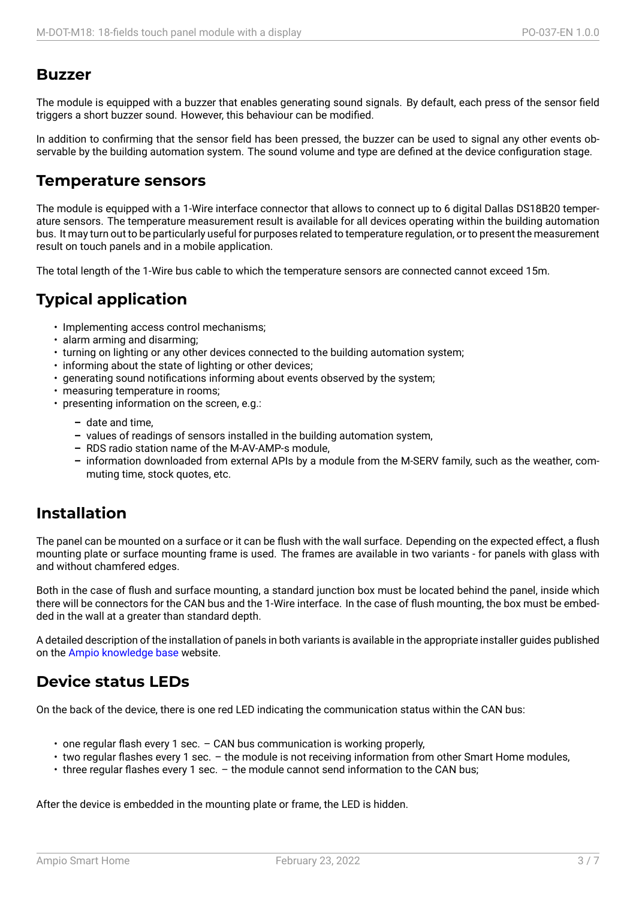#### **Buzzer**

The module is equipped with a buzzer that enables generating sound signals. By default, each press of the sensor field triggers a short buzzer sound. However, this behaviour can be modified.

In addition to confirming that the sensor field has been pressed, the buzzer can be used to signal any other events observable by the building automation system. The sound volume and type are defined at the device configuration stage.

#### **Temperature sensors**

The module is equipped with a 1-Wire interface connector that allows to connect up to 6 digital Dallas DS18B20 temperature sensors. The temperature measurement result is available for all devices operating within the building automation bus. It may turn out to be particularly useful for purposes related to temperature regulation, or to present the measurement result on touch panels and in a mobile application.

The total length of the 1-Wire bus cable to which the temperature sensors are connected cannot exceed 15m.

## **Typical application**

- Implementing access control mechanisms;
- alarm arming and disarming;
- turning on lighting or any other devices connected to the building automation system;
- informing about the state of lighting or other devices;
- generating sound notifications informing about events observed by the system;
- measuring temperature in rooms;
- presenting information on the screen, e.g.:
	- **–** date and time,
	- **–** values of readings of sensors installed in the building automation system,
	- **–** RDS radio station name of the M-AV-AMP-s module,
	- **–** information downloaded from external APIs by a module from the M-SERV family, such as the weather, commuting time, stock quotes, etc.

## **Installation**

The panel can be mounted on a surface or it can be flush with the wall surface. Depending on the expected effect, a flush mounting plate or surface mounting frame is used. The frames are available in two variants - for panels with glass with and without chamfered edges.

Both in the case of flush and surface mounting, a standard junction box must be located behind the panel, inside which there will be connectors for the CAN bus and the 1-Wire interface. In the case of flush mounting, the box must be embedded in the wall at a greater than standard depth.

A detailed description of the installation of panels in both variants is available in the appropriate installer guides published on the Ampio knowledge base website.

### **Device status LEDs**

On the [back of the device, ther](https://help.ampio.com)e is one red LED indicating the communication status within the CAN bus:

- one regular flash every 1 sec. CAN bus communication is working properly,
- two regular flashes every 1 sec. the module is not receiving information from other Smart Home modules,
- three regular flashes every 1 sec. the module cannot send information to the CAN bus;

After the device is embedded in the mounting plate or frame, the LED is hidden.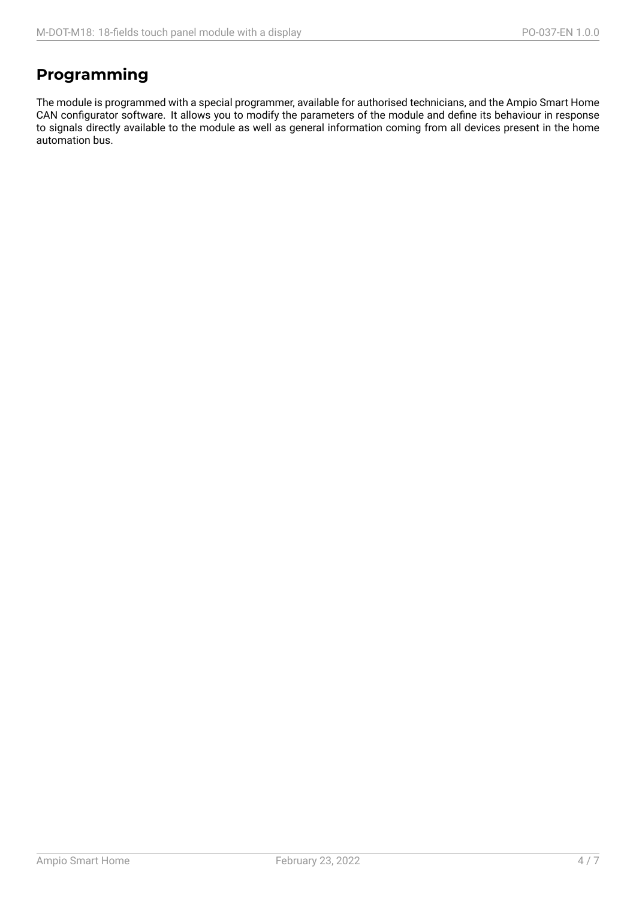# **Programming**

The module is programmed with a special programmer, available for authorised technicians, and the Ampio Smart Home CAN configurator software. It allows you to modify the parameters of the module and define its behaviour in response to signals directly available to the module as well as general information coming from all devices present in the home automation bus.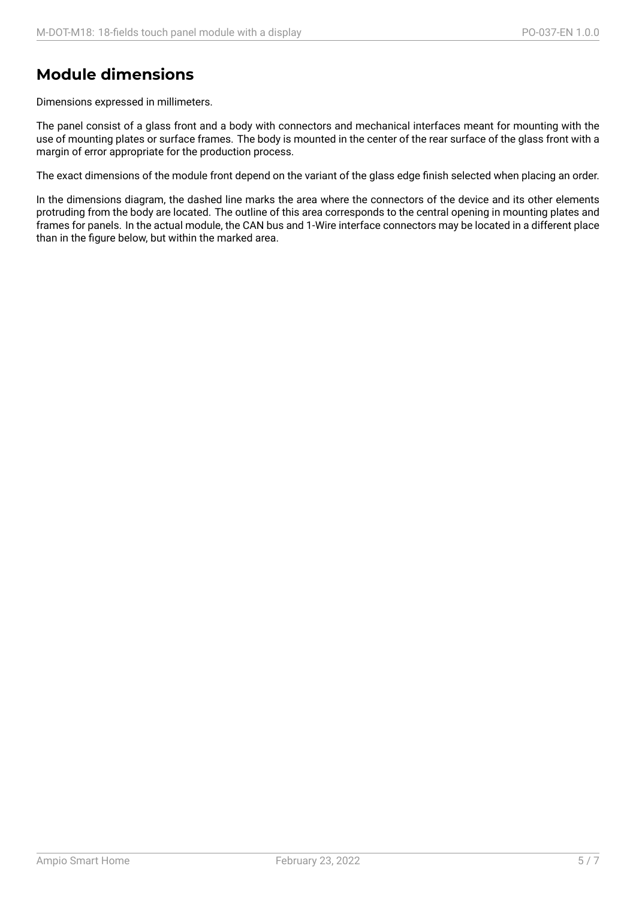# **Module dimensions**

Dimensions expressed in millimeters.

The panel consist of a glass front and a body with connectors and mechanical interfaces meant for mounting with the use of mounting plates or surface frames. The body is mounted in the center of the rear surface of the glass front with a margin of error appropriate for the production process.

The exact dimensions of the module front depend on the variant of the glass edge finish selected when placing an order.

In the dimensions diagram, the dashed line marks the area where the connectors of the device and its other elements protruding from the body are located. The outline of this area corresponds to the central opening in mounting plates and frames for panels. In the actual module, the CAN bus and 1-Wire interface connectors may be located in a different place than in the figure below, but within the marked area.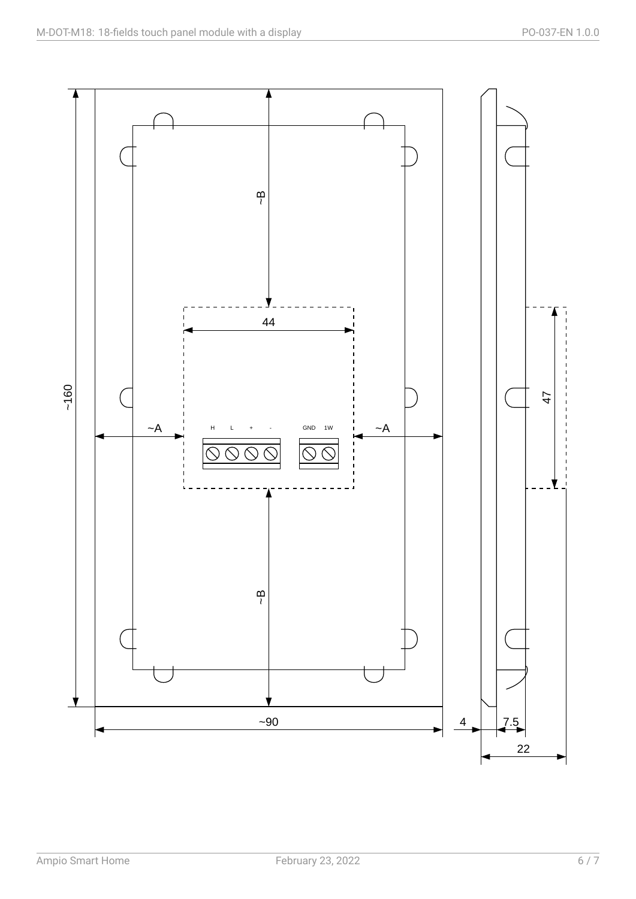